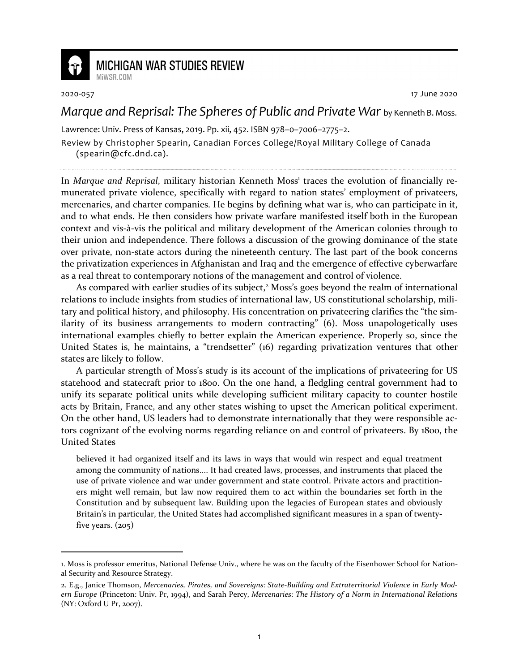

## **MICHIGAN WAR STUDIES REVIEW**

2020-057 17 June 2020

## *Marque and Reprisal: The Spheres of Public and Private War* by Kenneth B. Moss.

Lawrence: Univ. Press of Kansas, 2019. Pp. xii, 452. ISBN 978–0–7006–2775–2.

Review by Christopher Spearin, Canadian Forces College/Royal Military College of Canada (spearin@cfc.dnd.ca).

In Marque and Reprisal, military historian Kenneth Moss<sup>1</sup> traces the evolution of financially remunerated private violence, specifically with regard to nation states' employment of privateers, mercenaries, and charter companies. He begins by defining what war is, who can participate in it, and to what ends. He then considers how private warfare manifested itself both in the European context and vis-à-vis the political and military development of the American colonies through to their union and independence. There follows a discussion of the growing dominance of the state over private, non-state actors during the nineteenth century. The last part of the book concerns the privatization experiences in Afghanistan and Iraq and the emergence of effective cyberwarfare as a real threat to contemporary notions of the management and control of violence.

As compared with earlier studies of its subject,<sup>2</sup> Moss's goes beyond the realm of international relations to include insights from studies of international law, US constitutional scholarship, military and political history, and philosophy. His concentration on privateering clarifies the "the similarity of its business arrangements to modern contracting" (6). Moss unapologetically uses international examples chiefly to better explain the American experience. Properly so, since the United States is, he maintains, a "trendsetter" (16) regarding privatization ventures that other states are likely to follow.

A particular strength of Moss's study is its account of the implications of privateering for US statehood and statecraft prior to 1800. On the one hand, a fledgling central government had to unify its separate political units while developing sufficient military capacity to counter hostile acts by Britain, France, and any other states wishing to upset the American political experiment. On the other hand, US leaders had to demonstrate internationally that they were responsible actors cognizant of the evolving norms regarding reliance on and control of privateers. By 1800, the United States

believed it had organized itself and its laws in ways that would win respect and equal treatment among the community of nations.... It had created laws, processes, and instruments that placed the use of private violence and war under government and state control. Private actors and practitioners might well remain, but law now required them to act within the boundaries set forth in the Constitution and by subsequent law. Building upon the legacies of European states and obviously Britain's in particular, the United States had accomplished significant measures in a span of twentyfive years.  $(205)$ 

<sup>1.</sup> Moss is professor emeritus, National Defense Univ., where he was on the faculty of the Eisenhower School for National Security and Resource Strategy.

<sup>2.</sup> E.g., Janice Thomson, *Mercenaries, Pirates, and Sovereigns: State-Building and Extraterritorial Violence in Early Modern Europe* (Princeton: Univ. Pr, 1994), and Sarah Percy, *Mercenaries: The History of a Norm in International Relations* (NY: Oxford U Pr, 2007).